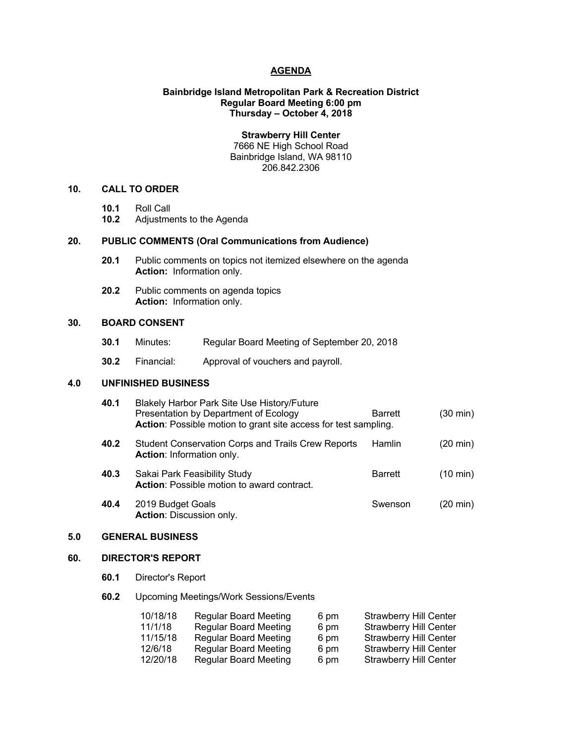#### **AGENDA**

### **Bainbridge Island Metropolitan Park & Recreation District Regular Board Meeting 6:00 pm Thursday – October 4, 2018**

**Strawberry Hill Center** 7666 NE High School Road Bainbridge Island, WA 98110

206.842.2306

# **10. CALL TO ORDER**

- **10.1** Roll Call
- **10.2** Adjustments to the Agenda

#### **20. PUBLIC COMMENTS (Oral Communications from Audience)**

- **20.1** Public comments on topics not itemized elsewhere on the agenda **Action:** Information only.
- **20.2** Public comments on agenda topics **Action:** Information only.

# **30. BOARD CONSENT**

- **30.1** Minutes: Regular Board Meeting of September 20, 2018
- **30.2** Financial: Approval of vouchers and payroll.

# **4.0 UNFINISHED BUSINESS**

|     | 40.1                    | Blakely Harbor Park Site Use History/Future<br>Presentation by Department of Ecology<br>Action: Possible motion to grant site access for test sampling. | <b>Barrett</b> | $(30 \text{ min})$ |  |
|-----|-------------------------|---------------------------------------------------------------------------------------------------------------------------------------------------------|----------------|--------------------|--|
|     | 40.2                    | <b>Student Conservation Corps and Trails Crew Reports</b><br><b>Action:</b> Information only.                                                           | <b>Hamlin</b>  | (20 min)           |  |
|     | 40.3                    | Sakai Park Feasibility Study<br><b>Action:</b> Possible motion to award contract.                                                                       | <b>Barrett</b> | $(10 \text{ min})$ |  |
|     | 40.4                    | 2019 Budget Goals<br><b>Action: Discussion only.</b>                                                                                                    | Swenson        | (20 min)           |  |
| 5.0 | <b>GENERAL BUSINESS</b> |                                                                                                                                                         |                |                    |  |

# **60. DIRECTOR'S REPORT**

**60.1** Director's Report

#### **60.2** Upcoming Meetings/Work Sessions/Events

| 10/18/18 | <b>Regular Board Meeting</b> | 6 pm | <b>Strawberry Hill Center</b> |
|----------|------------------------------|------|-------------------------------|
| 11/1/18  | Regular Board Meeting        | 6 pm | <b>Strawberry Hill Center</b> |
| 11/15/18 | <b>Regular Board Meeting</b> | 6 pm | <b>Strawberry Hill Center</b> |
| 12/6/18  | <b>Regular Board Meeting</b> | 6 pm | <b>Strawberry Hill Center</b> |
| 12/20/18 | <b>Regular Board Meeting</b> | 6 pm | <b>Strawberry Hill Center</b> |